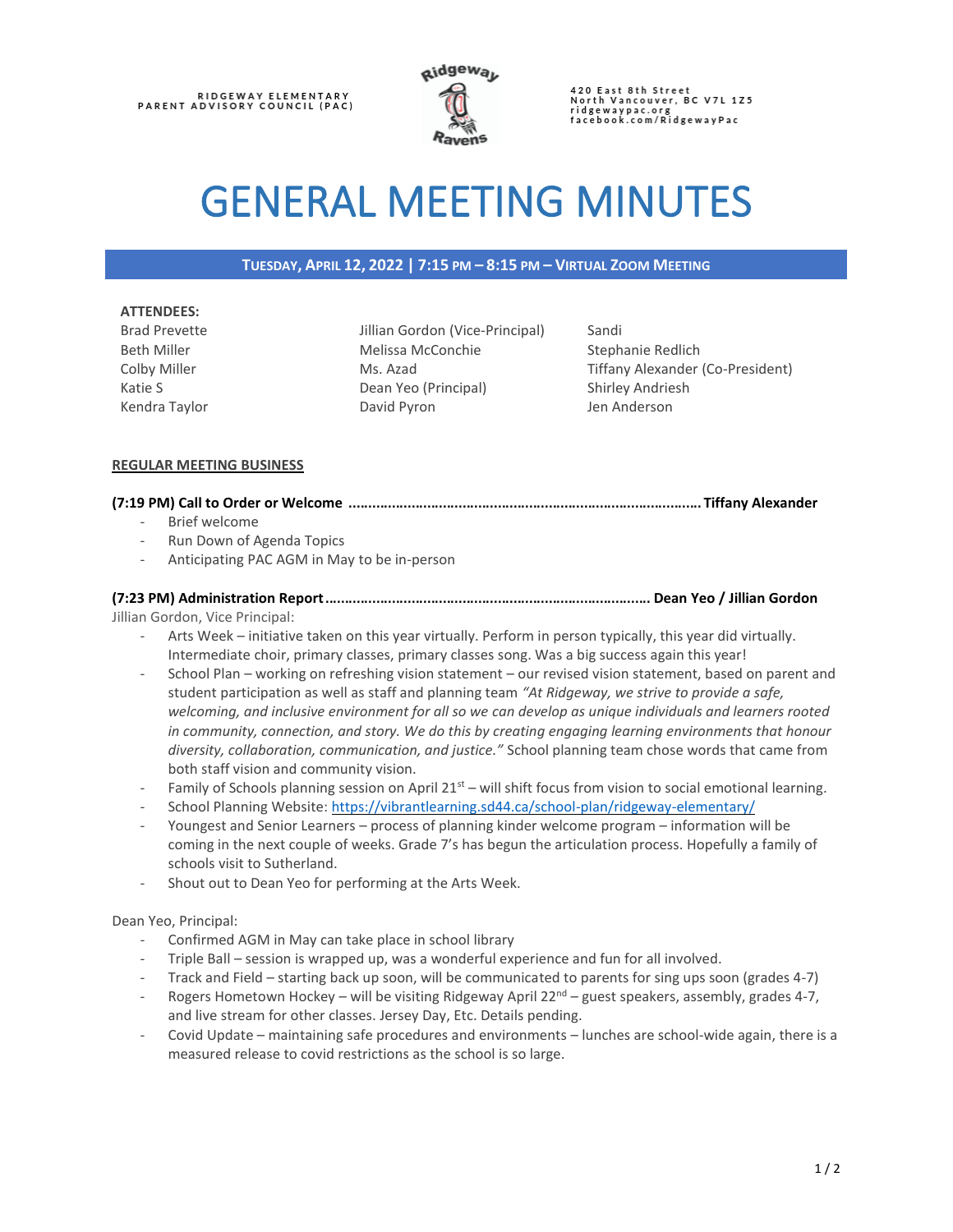

420 East 8th Street<br>North Vancouver, BC V7L 1Z5 ridgewaypac.org<br>facebook.com/RidgewayPac

# GENERAL MEETING MINUTES

# **TUESDAY, APRIL 12, 2022 | 7:15 PM – 8:15 PM – VIRTUAL ZOOM MEETING**

#### **ATTENDEES:**

Brad Prevette Beth Miller Colby Miller Katie S Kendra Taylor Jillian Gordon (Vice-Principal) Melissa McConchie Ms. Azad Dean Yeo (Principal) David Pyron

Sandi Stephanie Redlich Tiffany Alexander (Co-President) Shirley Andriesh Jen Anderson

## **REGULAR MEETING BUSINESS**

# **(7:19 PM) Call to Order or Welcome** ..........................................................................................**Tiffany Alexander**

- Brief welcome
- Run Down of Agenda Topics
- Anticipating PAC AGM in May to be in-person

## **(7:23 PM) Administration Report**................................................................................... **Dean Yeo / Jillian Gordon** Jillian Gordon, Vice Principal:

- Arts Week initiative taken on this year virtually. Perform in person typically, this year did virtually. Intermediate choir, primary classes, primary classes song. Was a big success again this year!
- School Plan working on refreshing vision statement our revised vision statement, based on parent and student participation as well as staff and planning team *"At Ridgeway, we strive to provide a safe, welcoming, and inclusive environment for all so we can develop as unique individuals and learners rooted in community, connection, and story. We do this by creating engaging learning environments that honour diversity, collaboration, communication, and justice."* School planning team chose words that came from both staff vision and community vision.
- Family of Schools planning session on April  $21<sup>st</sup> -$  will shift focus from vision to social emotional learning.
- School Planning Website:<https://vibrantlearning.sd44.ca/school-plan/ridgeway-elementary/>
- Youngest and Senior Learners process of planning kinder welcome program information will be coming in the next couple of weeks. Grade 7's has begun the articulation process. Hopefully a family of schools visit to Sutherland.
- Shout out to Dean Yeo for performing at the Arts Week.

### Dean Yeo, Principal:

- Confirmed AGM in May can take place in school library
- Triple Ball session is wrapped up, was a wonderful experience and fun for all involved.
- Track and Field starting back up soon, will be communicated to parents for sing ups soon (grades 4-7)
- Rogers Hometown Hockey will be visiting Ridgeway April  $22^{nd}$  guest speakers, assembly, grades 4-7, and live stream for other classes. Jersey Day, Etc. Details pending.
- Covid Update maintaining safe procedures and environments lunches are school-wide again, there is a measured release to covid restrictions as the school is so large.